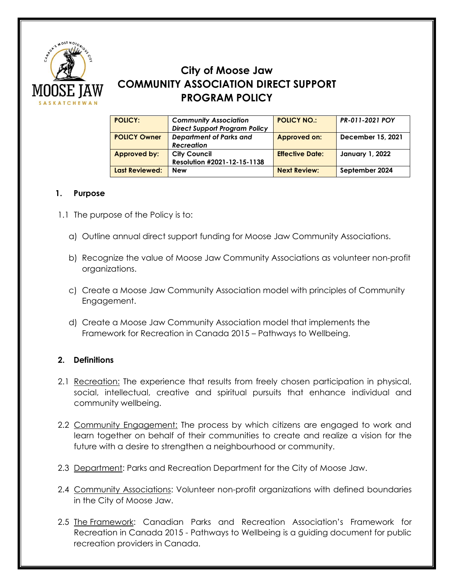

# **City of Moose Jaw COMMUNITY ASSOCIATION DIRECT SUPPORT PROGRAM POLICY**

| <b>POLICY:</b>        | <b>Community Association</b>         | <b>POLICY NO.:</b>     | PR-011-2021 POY   |
|-----------------------|--------------------------------------|------------------------|-------------------|
|                       | <b>Direct Support Program Policy</b> |                        |                   |
| <b>POLICY Owner</b>   | <b>Department of Parks and</b>       | <b>Approved on:</b>    | December 15, 2021 |
|                       | <b>Recreation</b>                    |                        |                   |
| Approved by:          | <b>City Council</b>                  | <b>Effective Date:</b> | January 1, 2022   |
|                       | Resolution #2021-12-15-1138          |                        |                   |
| <b>Last Reviewed:</b> | <b>New</b>                           | <b>Next Review:</b>    | September 2024    |

## **1. Purpose**

- 1.1 The purpose of the Policy is to:
	- a) Outline annual direct support funding for Moose Jaw Community Associations.
	- b) Recognize the value of Moose Jaw Community Associations as volunteer non-profit organizations.
	- c) Create a Moose Jaw Community Association model with principles of Community Engagement.
	- d) Create a Moose Jaw Community Association model that implements the Framework for Recreation in Canada 2015 – Pathways to Wellbeing.

## **2. Definitions**

- 2.1 Recreation: The experience that results from freely chosen participation in physical, social, intellectual, creative and spiritual pursuits that enhance individual and community wellbeing.
- 2.2 Community Engagement: The process by which citizens are engaged to work and learn together on behalf of their communities to create and realize a vision for the future with a desire to strengthen a neighbourhood or community.
- 2.3 Department: Parks and Recreation Department for the City of Moose Jaw.
- 2.4 Community Associations: Volunteer non-profit organizations with defined boundaries in the City of Moose Jaw.
- 2.5 The Framework: Canadian Parks and Recreation Association's Framework for Recreation in Canada 2015 - Pathways to Wellbeing is a guiding document for public recreation providers in Canada.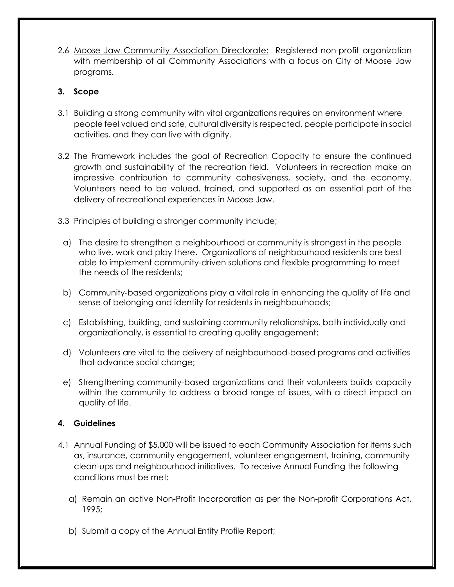2.6 Moose Jaw Community Association Directorate: Registered non-profit organization with membership of all Community Associations with a focus on City of Moose Jaw programs.

#### **3. Scope**

- 3.1 Building a strong community with vital organizations requires an environment where people feel valued and safe, cultural diversity is respected, people participate in social activities, and they can live with dignity.
- 3.2 The Framework includes the goal of Recreation Capacity to ensure the continued growth and sustainability of the recreation field. Volunteers in recreation make an impressive contribution to community cohesiveness, society, and the economy. Volunteers need to be valued, trained, and supported as an essential part of the delivery of recreational experiences in Moose Jaw.
- 3.3 Principles of building a stronger community include;
- a) The desire to strengthen a neighbourhood or community is strongest in the people who live, work and play there. Organizations of neighbourhood residents are best able to implement community-driven solutions and flexible programming to meet the needs of the residents;
- b) Community-based organizations play a vital role in enhancing the quality of life and sense of belonging and identity for residents in neighbourhoods;
- c) Establishing, building, and sustaining community relationships, both individually and organizationally, is essential to creating quality engagement;
- d) Volunteers are vital to the delivery of neighbourhood-based programs and activities that advance social change;
- e) Strengthening community-based organizations and their volunteers builds capacity within the community to address a broad range of issues, with a direct impact on quality of life.

#### **4. Guidelines**

- 4.1 Annual Funding of \$5,000 will be issued to each Community Association for items such as, insurance, community engagement, volunteer engagement, training, community clean-ups and neighbourhood initiatives. To receive Annual Funding the following conditions must be met:
	- a) Remain an active Non-Profit Incorporation as per the Non-profit Corporations Act, 1995;
	- b) Submit a copy of the Annual Entity Profile Report;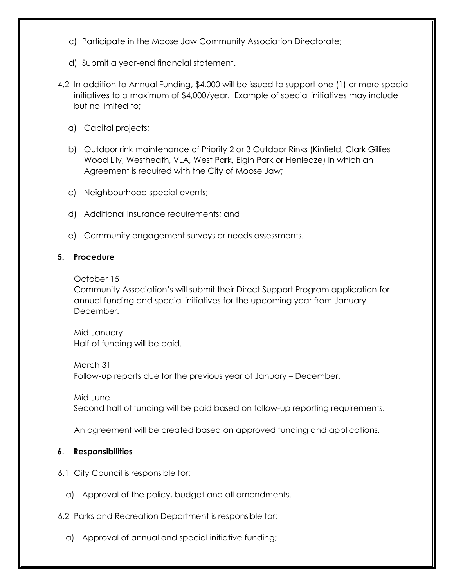- c) Participate in the Moose Jaw Community Association Directorate;
- d) Submit a year-end financial statement.
- 4.2 In addition to Annual Funding, \$4,000 will be issued to support one (1) or more special initiatives to a maximum of \$4,000/year. Example of special initiatives may include but no limited to;
	- a) Capital projects;
	- b) Outdoor rink maintenance of Priority 2 or 3 Outdoor Rinks (Kinfield, Clark Gillies Wood Lily, Westheath, VLA, West Park, Elgin Park or Henleaze) in which an Agreement is required with the City of Moose Jaw;
	- c) Neighbourhood special events;
	- d) Additional insurance requirements; and
	- e) Community engagement surveys or needs assessments.

#### **5. Procedure**

October 15

Community Association's will submit their Direct Support Program application for annual funding and special initiatives for the upcoming year from January – December.

Mid January Half of funding will be paid.

March 31 Follow-up reports due for the previous year of January – December.

Mid June Second half of funding will be paid based on follow-up reporting requirements.

An agreement will be created based on approved funding and applications.

## **6. Responsibilities**

- 6.1 City Council is responsible for:
	- a) Approval of the policy, budget and all amendments.
- 6.2 Parks and Recreation Department is responsible for:
	- a) Approval of annual and special initiative funding;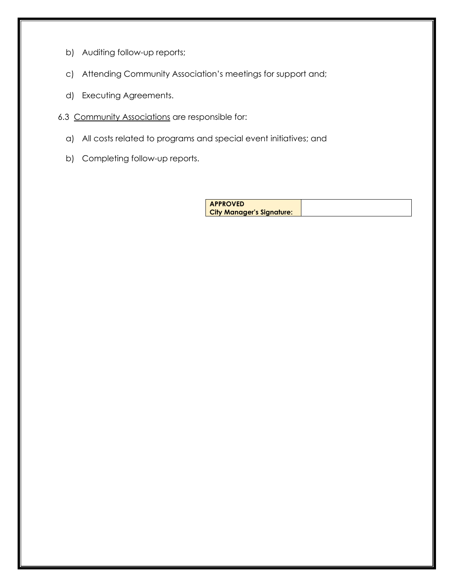- b) Auditing follow-up reports;
- c) Attending Community Association's meetings for support and;
- d) Executing Agreements.
- 6.3 Community Associations are responsible for:
	- a) All costs related to programs and special event initiatives; and
	- b) Completing follow-up reports.

| <b>APPROVED</b>                  |  |
|----------------------------------|--|
| <b>City Manager's Signature:</b> |  |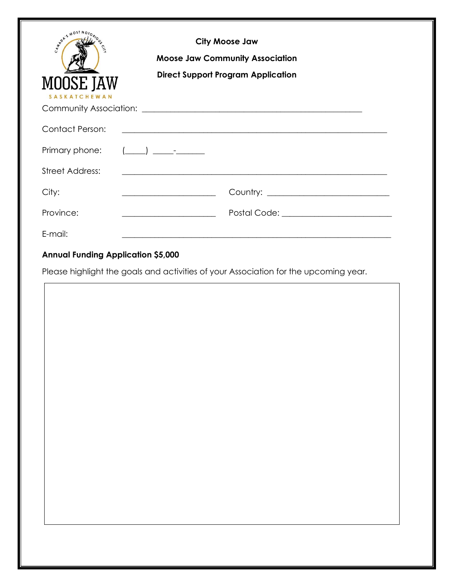| <b>APORIS MOST NO.</b><br><b>MOOSE JAW</b><br>SASKATCHEWAN | <b>City Moose Jaw</b><br><b>Moose Jaw Community Association</b><br><b>Direct Support Program Application</b>                                                                                                                                                                                                                       |
|------------------------------------------------------------|------------------------------------------------------------------------------------------------------------------------------------------------------------------------------------------------------------------------------------------------------------------------------------------------------------------------------------|
| <b>Contact Person:</b>                                     | <u> 1989 - Jan Barnett, fransk politiker (d. 1989)</u>                                                                                                                                                                                                                                                                             |
| Primary phone:                                             | $\begin{pmatrix} 0 & 0 & 0 \\ 0 & 0 & 0 \\ 0 & 0 & 0 \\ 0 & 0 & 0 \\ 0 & 0 & 0 \\ 0 & 0 & 0 \\ 0 & 0 & 0 \\ 0 & 0 & 0 \\ 0 & 0 & 0 \\ 0 & 0 & 0 \\ 0 & 0 & 0 \\ 0 & 0 & 0 \\ 0 & 0 & 0 \\ 0 & 0 & 0 \\ 0 & 0 & 0 & 0 \\ 0 & 0 & 0 & 0 \\ 0 & 0 & 0 & 0 \\ 0 & 0 & 0 & 0 & 0 \\ 0 & 0 & 0 & 0 & 0 \\ 0 & 0 & 0 & 0 & 0 \\ 0 & 0 & $ |
| <b>Street Address:</b>                                     |                                                                                                                                                                                                                                                                                                                                    |
| City:                                                      | <u> Alexandria de la contexta de la contexta de la contexta de la contexta de la contexta de la contexta de la c</u>                                                                                                                                                                                                               |
| Province:                                                  | <u> 1989 - Jan Salaman, masjid al-</u>                                                                                                                                                                                                                                                                                             |
| E-mail:                                                    |                                                                                                                                                                                                                                                                                                                                    |

## **Annual Funding Application \$5,000**

Please highlight the goals and activities of your Association for the upcoming year.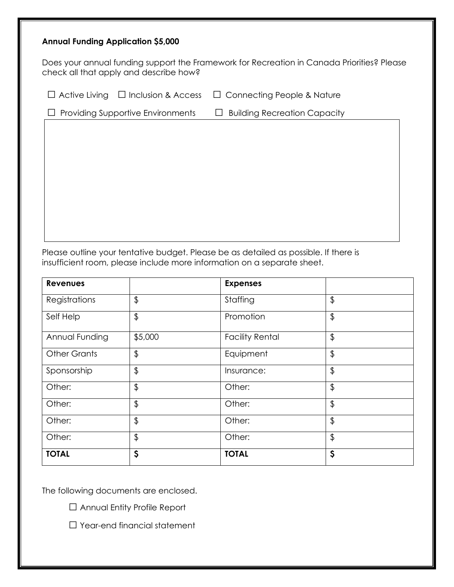#### **Annual Funding Application \$5,000**

Does your annual funding support the Framework for Recreation in Canada Priorities? Please check all that apply and describe how?

□ Active Living □ Inclusion & Access □ Connecting People & Nature

□ Providing Supportive Environments □ Building Recreation Capacity

Please outline your tentative budget. Please be as detailed as possible. If there is insufficient room, please include more information on a separate sheet.

| <b>Revenues</b>     |         | <b>Expenses</b>        |                |
|---------------------|---------|------------------------|----------------|
| Registrations       | \$      | Staffing               | \$             |
| Self Help           | \$      | Promotion              | $\frac{1}{2}$  |
| Annual Funding      | \$5,000 | <b>Facility Rental</b> | $\frac{1}{2}$  |
| <b>Other Grants</b> | \$      | Equipment              | \$             |
| Sponsorship         | \$      | Insurance:             | $\updownarrow$ |
| Other:              | \$      | Other:                 | $\frac{1}{2}$  |
| Other:              | \$      | Other:                 | \$             |
| Other:              | \$      | Other:                 | $\frac{1}{2}$  |
| Other:              | \$      | Other:                 | $\frac{1}{2}$  |
| <b>TOTAL</b>        | \$      | <b>TOTAL</b>           | $\varsigma$    |

The following documents are enclosed.

□ Annual Entity Profile Report

□ Year-end financial statement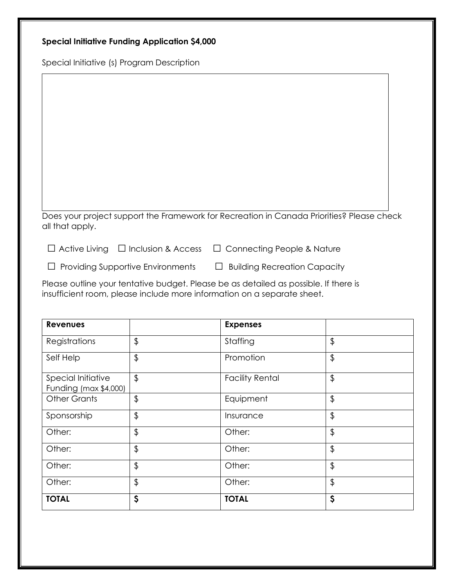Special Initiative (s) Program Description

Does your project support the Framework for Recreation in Canada Priorities? Please check all that apply.

□ Active Living □ Inclusion & Access □ Connecting People & Nature

□ Providing Supportive Environments □ Building Recreation Capacity

Please outline your tentative budget. Please be as detailed as possible. If there is insufficient room, please include more information on a separate sheet.

| <b>Revenues</b>                             |               | <b>Expenses</b>        |               |
|---------------------------------------------|---------------|------------------------|---------------|
| Registrations                               | \$            | Staffing               | \$            |
| Self Help                                   | $\frac{1}{2}$ | Promotion              | $\frac{1}{2}$ |
| Special Initiative<br>Funding (max \$4,000) | $\frac{1}{2}$ | <b>Facility Rental</b> | $\frac{1}{2}$ |
| <b>Other Grants</b>                         | $\frac{1}{2}$ | Equipment              | $\frac{1}{2}$ |
| Sponsorship                                 | $\frac{1}{2}$ | Insurance              | $\frac{1}{2}$ |
| Other:                                      | $\frac{1}{2}$ | Other:                 | $\frac{1}{2}$ |
| Other:                                      | \$            | Other:                 | \$            |
| Other:                                      | $\frac{1}{2}$ | Other:                 | $\frac{1}{2}$ |
| Other:                                      | $\frac{1}{2}$ | Other:                 | $\frac{1}{2}$ |
| <b>TOTAL</b>                                | $\varsigma$   | <b>TOTAL</b>           | Ş             |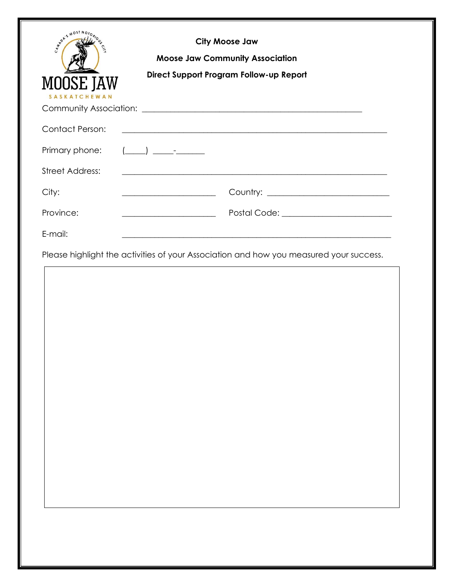| MARIANOST N<br><b>MOOSE JAW</b><br><b>KATCHEWAN</b> | <b>City Moose Jaw</b><br><b>Moose Jaw Community Association</b><br>Direct Support Program Follow-up Report |
|-----------------------------------------------------|------------------------------------------------------------------------------------------------------------|
| <b>Contact Person:</b>                              |                                                                                                            |
| Primary phone:                                      | $(\_\_)$ $\_\_$                                                                                            |
| <b>Street Address:</b>                              |                                                                                                            |
| City:                                               | <u> 1989 - Johann Barn, mars eta bainar eta idazlea (</u>                                                  |
| Province:                                           |                                                                                                            |
| E-mail:                                             |                                                                                                            |
|                                                     | Please highlight the activities of your Association and how you measured your success.                     |
|                                                     |                                                                                                            |
|                                                     |                                                                                                            |
|                                                     |                                                                                                            |
|                                                     |                                                                                                            |
|                                                     |                                                                                                            |
|                                                     |                                                                                                            |
|                                                     |                                                                                                            |
|                                                     |                                                                                                            |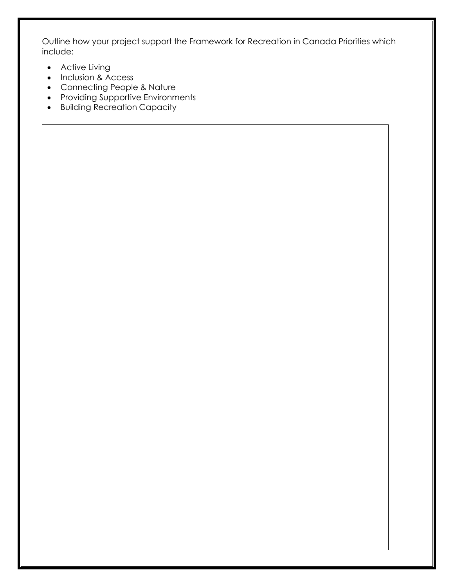Outline how your project support the Framework for Recreation in Canada Priorities which include:

- Active Living
- Inclusion & Access
- Connecting People & Nature
- Providing Supportive Environments
- Building Recreation Capacity